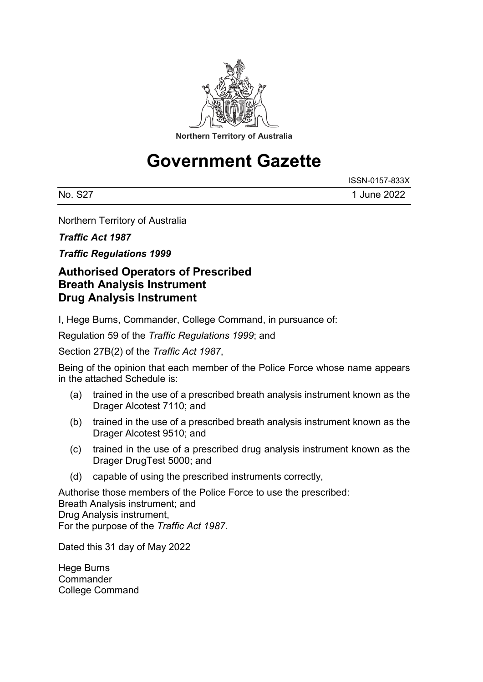

## **Government Gazette**

|         | ISSN-0157-833X |
|---------|----------------|
| No. S27 | 1 June 2022    |

Northern Territory of Australia

*Traffic Act 1987*

*Traffic Regulations 1999*

## **Authorised Operators of Prescribed Breath Analysis Instrument Drug Analysis Instrument**

I, Hege Burns, Commander, College Command, in pursuance of:

Regulation 59 of the *Traffic Regulations 1999*; and

Section 27B(2) of the *Traffic Act 1987*,

Being of the opinion that each member of the Police Force whose name appears in the attached Schedule is:

- (a) trained in the use of a prescribed breath analysis instrument known as the Drager Alcotest 7110; and
- (b) trained in the use of a prescribed breath analysis instrument known as the Drager Alcotest 9510; and
- (c) trained in the use of a prescribed drug analysis instrument known as the Drager DrugTest 5000; and
- (d) capable of using the prescribed instruments correctly,

Authorise those members of the Police Force to use the prescribed: Breath Analysis instrument; and Drug Analysis instrument, For the purpose of the *Traffic Act 1987.*

Dated this 31 day of May 2022

Hege Burns **Commander** College Command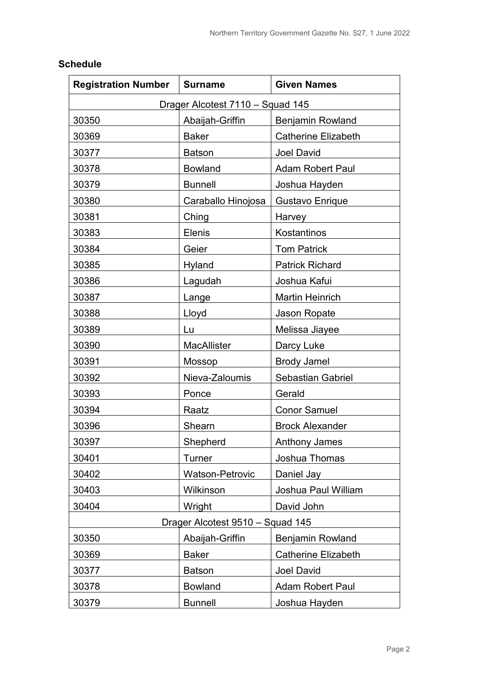| <b>Registration Number</b> | <b>Surname</b>                   | <b>Given Names</b>         |  |  |  |
|----------------------------|----------------------------------|----------------------------|--|--|--|
|                            | Drager Alcotest 7110 - Squad 145 |                            |  |  |  |
| 30350                      | Abaijah-Griffin                  | <b>Benjamin Rowland</b>    |  |  |  |
| 30369                      | <b>Baker</b>                     | <b>Catherine Elizabeth</b> |  |  |  |
| 30377                      | <b>Batson</b>                    | <b>Joel David</b>          |  |  |  |
| 30378                      | <b>Bowland</b>                   | <b>Adam Robert Paul</b>    |  |  |  |
| 30379                      | <b>Bunnell</b>                   | Joshua Hayden              |  |  |  |
| 30380                      | Caraballo Hinojosa               | Gustavo Enrique            |  |  |  |
| 30381                      | Ching                            | Harvey                     |  |  |  |
| 30383                      | <b>Elenis</b>                    | Kostantinos                |  |  |  |
| 30384                      | Geier                            | <b>Tom Patrick</b>         |  |  |  |
| 30385                      | Hyland                           | <b>Patrick Richard</b>     |  |  |  |
| 30386                      | Lagudah                          | Joshua Kafui               |  |  |  |
| 30387                      | Lange                            | <b>Martin Heinrich</b>     |  |  |  |
| 30388                      | Lloyd                            | Jason Ropate               |  |  |  |
| 30389                      | Lu                               | Melissa Jiayee             |  |  |  |
| 30390                      | <b>MacAllister</b>               | Darcy Luke                 |  |  |  |
| 30391                      | Mossop                           | <b>Brody Jamel</b>         |  |  |  |
| 30392                      | Nieva-Zaloumis                   | <b>Sebastian Gabriel</b>   |  |  |  |
| 30393                      | Ponce                            | Gerald                     |  |  |  |
| 30394                      | Raatz                            | <b>Conor Samuel</b>        |  |  |  |
| 30396                      | Shearn                           | <b>Brock Alexander</b>     |  |  |  |
| 30397                      | Shepherd                         | <b>Anthony James</b>       |  |  |  |
| 30401                      | <b>Turner</b>                    | Joshua Thomas              |  |  |  |
| 30402                      | <b>Watson-Petrovic</b>           | Daniel Jay                 |  |  |  |
| 30403                      | Wilkinson                        | Joshua Paul William        |  |  |  |
| 30404                      | Wright                           | David John                 |  |  |  |
|                            | Drager Alcotest 9510 - Squad 145 |                            |  |  |  |
| 30350                      | Abaijah-Griffin                  | <b>Benjamin Rowland</b>    |  |  |  |
| 30369                      | <b>Baker</b>                     | <b>Catherine Elizabeth</b> |  |  |  |
| 30377                      | <b>Batson</b>                    | <b>Joel David</b>          |  |  |  |
| 30378                      | <b>Bowland</b>                   | <b>Adam Robert Paul</b>    |  |  |  |
| 30379                      | <b>Bunnell</b>                   | Joshua Hayden              |  |  |  |

## **Schedule**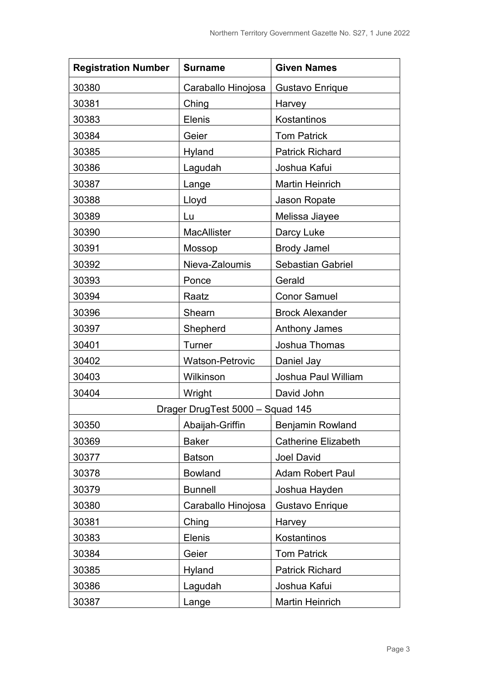| <b>Registration Number</b>       | <b>Surname</b>         | <b>Given Names</b>         |
|----------------------------------|------------------------|----------------------------|
| 30380                            | Caraballo Hinojosa     | <b>Gustavo Enrique</b>     |
| 30381                            | Ching                  | Harvey <u>Lamburg</u>      |
| 30383                            | <b>Elenis</b>          | Kostantinos                |
| 30384                            | Geier                  | <b>Tom Patrick</b>         |
| 30385                            | Hyland                 | <b>Patrick Richard</b>     |
| 30386                            | Lagudah                | Joshua Kafui               |
| 30387                            | Lange                  | <b>Martin Heinrich</b>     |
| 30388                            | Lloyd                  | Jason Ropate               |
| 30389                            | Lu                     | Melissa Jiayee             |
| 30390                            | <b>MacAllister</b>     | Darcy Luke                 |
| 30391                            | Mossop                 | <b>Brody Jamel</b>         |
| 30392                            | Nieva-Zaloumis         | Sebastian Gabriel          |
| 30393                            | Ponce                  | Gerald                     |
| 30394                            | Raatz                  | <b>Conor Samuel</b>        |
| 30396                            | Shearn                 | <b>Brock Alexander</b>     |
| 30397                            | Shepherd               | <b>Anthony James</b>       |
| 30401                            | Turner                 | Joshua Thomas              |
| 30402                            | <b>Watson-Petrovic</b> | Daniel Jay                 |
| 30403                            | Wilkinson              | Joshua Paul William        |
| 30404                            | Wright                 | David John                 |
| Drager DrugTest 5000 - Squad 145 |                        |                            |
| 30350                            | Abaijah-Griffin        | <b>Benjamin Rowland</b>    |
| 30369                            | <b>Baker</b>           | <b>Catherine Elizabeth</b> |
| 30377                            | <b>Batson</b>          | <b>Joel David</b>          |
| 30378                            | <b>Bowland</b>         | <b>Adam Robert Paul</b>    |
| 30379                            | <b>Bunnell</b>         | Joshua Hayden              |
| 30380                            | Caraballo Hinojosa     | Gustavo Enrique            |
| 30381                            | Ching                  | Harvey                     |
| 30383                            | <b>Elenis</b>          | Kostantinos                |
| 30384                            | Geier                  | <b>Tom Patrick</b>         |
| 30385                            | Hyland                 | <b>Patrick Richard</b>     |
| 30386                            | Lagudah                | Joshua Kafui               |
| 30387                            | Lange                  | <b>Martin Heinrich</b>     |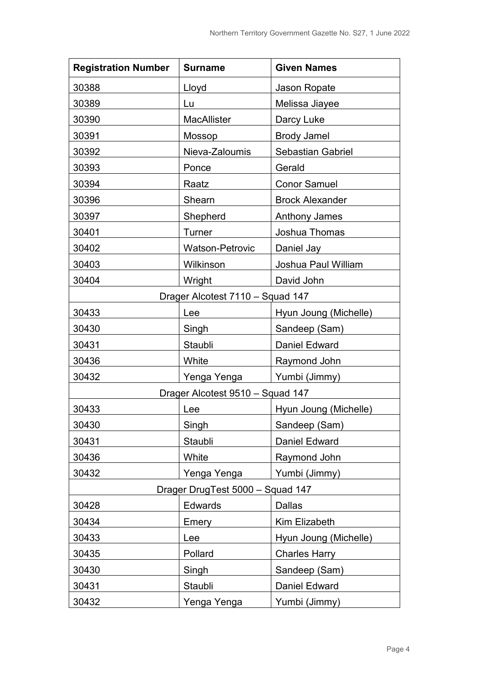| <b>Registration Number</b> | <b>Surname</b>                   | <b>Given Names</b>       |
|----------------------------|----------------------------------|--------------------------|
| 30388                      | Lloyd                            | Jason Ropate             |
| 30389                      | Lu                               | Melissa Jiayee           |
| 30390                      | <b>MacAllister</b>               | Darcy Luke               |
| 30391                      | Mossop                           | <b>Brody Jamel</b>       |
| 30392                      | Nieva-Zaloumis                   | <b>Sebastian Gabriel</b> |
| 30393                      | Ponce                            | Gerald                   |
| 30394                      | Raatz                            | <b>Conor Samuel</b>      |
| 30396                      | Shearn                           | <b>Brock Alexander</b>   |
| 30397                      | Shepherd                         | <b>Anthony James</b>     |
| 30401                      | Turner                           | Joshua Thomas            |
| 30402                      | <b>Watson-Petrovic</b>           | Daniel Jay               |
| 30403                      | Wilkinson                        | Joshua Paul William      |
| 30404                      | Wright                           | David John               |
|                            | Drager Alcotest 7110 - Squad 147 |                          |
| 30433                      | Lee                              | Hyun Joung (Michelle)    |
| 30430                      | Singh                            | Sandeep (Sam)            |
| 30431                      | Staubli                          | <b>Daniel Edward</b>     |
| 30436                      | White                            | Raymond John             |
| 30432                      | Yenga Yenga                      | Yumbi (Jimmy)            |
|                            | Drager Alcotest 9510 - Squad 147 |                          |
| 30433                      | Lee                              | Hyun Joung (Michelle)    |
| 30430                      | Singh                            | Sandeep (Sam)            |
| 30431                      | Staubli                          | Daniel Edward            |
| 30436                      | White                            | Raymond John             |
| 30432                      | Yenga Yenga                      | Yumbi (Jimmy)            |
|                            | Drager DrugTest 5000 - Squad 147 |                          |
| 30428                      | <b>Edwards</b>                   | <b>Dallas</b>            |
| 30434                      | Emery                            | Kim Elizabeth            |
| 30433                      | Lee                              | Hyun Joung (Michelle)    |
| 30435                      | Pollard                          | <b>Charles Harry</b>     |
| 30430                      | Singh                            | Sandeep (Sam)            |
| 30431                      | Staubli                          | <b>Daniel Edward</b>     |
| 30432                      | Yenga Yenga                      | Yumbi (Jimmy)            |